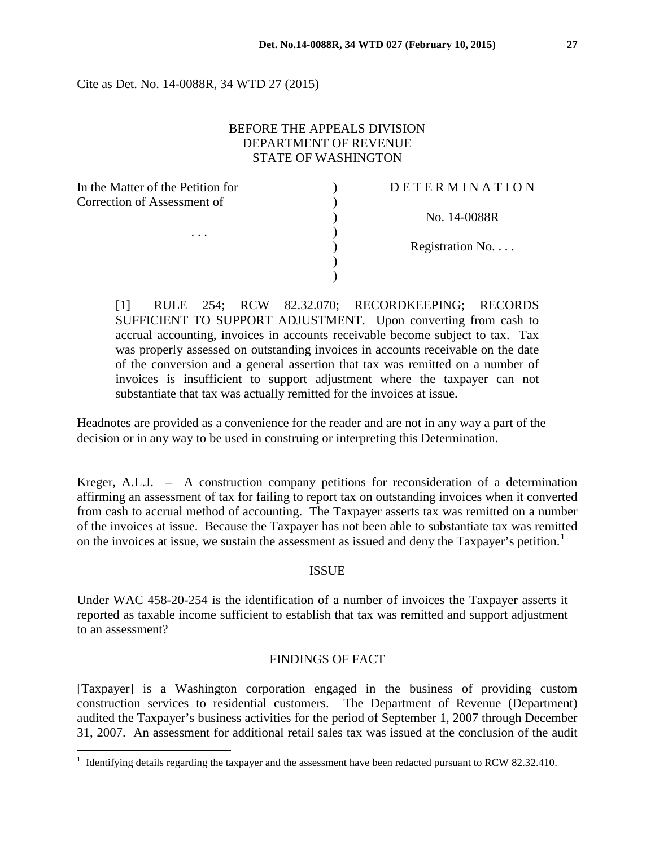Cite as Det. No. 14-0088R, 34 WTD 27 (2015)

### BEFORE THE APPEALS DIVISION DEPARTMENT OF REVENUE STATE OF WASHINGTON

| In the Matter of the Petition for |  |
|-----------------------------------|--|
| Correction of Assessment of       |  |
|                                   |  |
|                                   |  |
|                                   |  |
|                                   |  |
|                                   |  |

## $D E T E R M I N A T I O N$

) No. 14-0088R

Registration No. . . .

[1] RULE 254; RCW 82.32.070; RECORDKEEPING; RECORDS SUFFICIENT TO SUPPORT ADJUSTMENT. Upon converting from cash to accrual accounting, invoices in accounts receivable become subject to tax. Tax was properly assessed on outstanding invoices in accounts receivable on the date of the conversion and a general assertion that tax was remitted on a number of invoices is insufficient to support adjustment where the taxpayer can not substantiate that tax was actually remitted for the invoices at issue.

Headnotes are provided as a convenience for the reader and are not in any way a part of the decision or in any way to be used in construing or interpreting this Determination.

Kreger, A.L.J. – A construction company petitions for reconsideration of a determination affirming an assessment of tax for failing to report tax on outstanding invoices when it converted from cash to accrual method of accounting. The Taxpayer asserts tax was remitted on a number of the invoices at issue. Because the Taxpayer has not been able to substantiate tax was remitted on the invoices at issue, we sustain the assessment as issued and deny the Taxpayer's petition.<sup>[1](#page-0-0)</sup>

#### ISSUE

Under WAC 458-20-254 is the identification of a number of invoices the Taxpayer asserts it reported as taxable income sufficient to establish that tax was remitted and support adjustment to an assessment?

#### FINDINGS OF FACT

[Taxpayer] is a Washington corporation engaged in the business of providing custom construction services to residential customers. The Department of Revenue (Department) audited the Taxpayer's business activities for the period of September 1, 2007 through December 31, 2007. An assessment for additional retail sales tax was issued at the conclusion of the audit

 $\overline{a}$ 

<span id="page-0-0"></span> $1$  Identifying details regarding the taxpayer and the assessment have been redacted pursuant to RCW 82.32.410.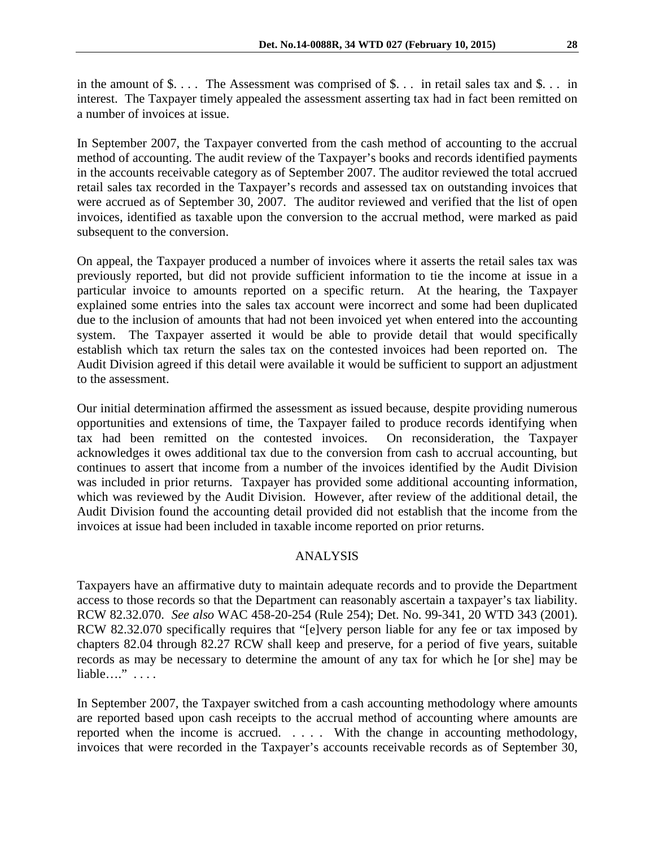in the amount of \$.... The Assessment was comprised of \$... in retail sales tax and \$... in interest. The Taxpayer timely appealed the assessment asserting tax had in fact been remitted on a number of invoices at issue.

In September 2007, the Taxpayer converted from the cash method of accounting to the accrual method of accounting. The audit review of the Taxpayer's books and records identified payments in the accounts receivable category as of September 2007. The auditor reviewed the total accrued retail sales tax recorded in the Taxpayer's records and assessed tax on outstanding invoices that were accrued as of September 30, 2007. The auditor reviewed and verified that the list of open invoices, identified as taxable upon the conversion to the accrual method, were marked as paid subsequent to the conversion.

On appeal, the Taxpayer produced a number of invoices where it asserts the retail sales tax was previously reported, but did not provide sufficient information to tie the income at issue in a particular invoice to amounts reported on a specific return. At the hearing, the Taxpayer explained some entries into the sales tax account were incorrect and some had been duplicated due to the inclusion of amounts that had not been invoiced yet when entered into the accounting system. The Taxpayer asserted it would be able to provide detail that would specifically establish which tax return the sales tax on the contested invoices had been reported on. The Audit Division agreed if this detail were available it would be sufficient to support an adjustment to the assessment.

Our initial determination affirmed the assessment as issued because, despite providing numerous opportunities and extensions of time, the Taxpayer failed to produce records identifying when tax had been remitted on the contested invoices. On reconsideration, the Taxpayer acknowledges it owes additional tax due to the conversion from cash to accrual accounting, but continues to assert that income from a number of the invoices identified by the Audit Division was included in prior returns. Taxpayer has provided some additional accounting information, which was reviewed by the Audit Division. However, after review of the additional detail, the Audit Division found the accounting detail provided did not establish that the income from the invoices at issue had been included in taxable income reported on prior returns.

#### ANALYSIS

Taxpayers have an affirmative duty to maintain adequate records and to provide the Department access to those records so that the Department can reasonably ascertain a taxpayer's tax liability. RCW 82.32.070. *See also* WAC 458-20-254 (Rule 254); Det. No. 99-341, 20 WTD 343 (2001). RCW 82.32.070 specifically requires that "[e]very person liable for any fee or tax imposed by chapters 82.04 through 82.27 RCW shall keep and preserve, for a period of five years, suitable records as may be necessary to determine the amount of any tax for which he [or she] may be liable…." . . . .

In September 2007, the Taxpayer switched from a cash accounting methodology where amounts are reported based upon cash receipts to the accrual method of accounting where amounts are reported when the income is accrued. *. . .* . With the change in accounting methodology, invoices that were recorded in the Taxpayer's accounts receivable records as of September 30,